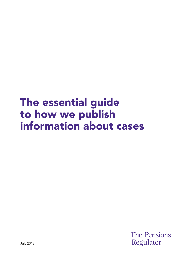# The essential guide to how we publish information about cases

**The Pensions** Regulator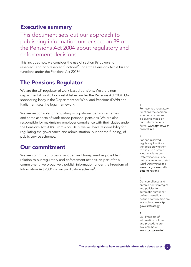### Executive summary

This document sets out our approach to publishing information under section 89 of the Pensions Act 2004 about regulatory and enforcement decisions.

This includes how we consider the use of section 89 powers for reserved<sup>1</sup> and non-reserved functions<sup>2</sup> under the Pensions Act 2004 and functions under the Pensions Act 2008<sup>3</sup>.

## The Pensions Regulator

We are the UK regulator of work-based pensions. We are a nondepartmental public body established under the Pensions Act 2004. Our sponsoring body is the Department for Work and Pensions (DWP) and Parliament sets the legal framework.

We are responsible for regulating occupational pension schemes and some aspects of work-based personal pensions. We are also responsible for maximising employer compliance with their duties under the Pensions Act 2008. From April 2015, we will have responsibility for regulating the governance and administration, but not the funding, of public service schemes.

### Our commitment

We are committed to being as open and transparent as possible in relation to our regulatory and enforcement actions. As part of this commitment, we proactively publish information under the Freedom of Information Act 2000 via our publication scheme<sup>4</sup>.

1 For reserved regulatory functions the decision whether to exercise a power is made by our Determinations Panel: [www.tpr.gov.uk/](https://www.thepensionsregulator.gov.uk/en/about-us/how-we-regulate-and-enforce/case-procedures) procedures

#### $\mathcal{D}$

For non-reserved regulatory functions the decision whether to exercise a power is not made by our Determinations Panel but by a member of staff (Staff Determinations): [www.tpr.gov.uk/staff](https://www.thepensionsregulator.gov.uk/-/media/thepensionsregulator/files/import/pdf/staff-determinations-procedure.ashx)determinations

#### 3

Our compliance and enforcement strategies and policies for automatic enrolment, defined benefit and defined contribution are available at: www.tpr. [gov.uk/strategy](https://www.thepensionsregulator.gov.uk/en/document-library/strategy-and-policy) 

#### 4

Our Freedom of Information policies and procedure are available here: [www.tpr.gov.uk/foi](https://www.thepensionsregulator.gov.uk/en/about-us/freedom-of-information-(foi)) 

2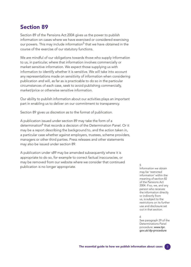### Section 89

Section 89 of the Pensions Act 2004 gives us the power to publish information on cases where we have exercised or considered exercising our powers. This may include information<sup>5</sup> that we have obtained in the course of the exercise of our statutory functions.

We are mindful of our obligations towards those who supply information to us, in particular, where that information involves commercially or market sensitive information. We expect those supplying us with information to identify whether it is sensitive. We will take into account any representations made on sensitivity of information when considering publication and will, as far as is practicable to do so in the particular circumstances of each case, seek to avoid publishing commercially, market/price or otherwise sensitive information.

Our ability to publish information about our activities plays an important part in enabling us to deliver on our commitment to transparency.

Section 89 gives us discretion as to the format of publication.

A publication issued under section 89 may take the form of a determination<sup>6</sup> that records a decision of the Determination Panel. Or it may be a report describing the background to, and the action taken in, a particular case whether against employers, trustees, scheme providers, managers or other third parties. Press releases and other statements may also be issued under section 89.

A publication under s89 may be amended subsequently where it is appropriate to do so, for example to correct factual inaccuracies, or may be removed from our website where we consider that continued publication is no longer appropriate.  $\frac{5}{1}$ 

Information we obtain may be 'restricted information' within the meaning of section 82 of the Pensions Act 2004. If so, we, and any person who receives the information directly or indirectly from us, is subject to the restrictions on its further use and disclosure set out in that section.

#### 6

See paragraph 29 of the Determinations Panel procedure: www.tpr. [gov.uk/dp-procedure](https://www.thepensionsregulator.gov.uk/en/about-us/how-we-regulate-and-enforce/case-procedures-)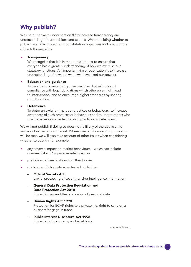## Why publish?

We use our powers under section 89 to increase transparency and understanding of our decisions and actions. When deciding whether to publish, we take into account our statutory objectives and one or more of the following aims:

#### $\blacktriangleright$  Transparency

We recognise that it is in the public interest to ensure that everyone has a greater understanding of how we exercise our statutory functions. An important aim of publication is to increase understanding of how and when we have used our powers.

#### Education and guidance

To provide guidance to improve practices, behaviours and compliance with legal obligations which otherwise might lead to intervention; and to encourage higher standards by sharing good practice.

#### Deterrence

To deter unlawful or improper practices or behaviours, to increase awareness of such practices or behaviours and to inform others who may be adversely affected by such practices or behaviours.

We will not publish if doing so does not fulfil any of the above aims and is not in the public interest. Where one or more aims of publication will be met, we will also take account of other issues when considering whether to publish, for example:

- any adverse impact on market behaviours which can include commercial and/or price sensitivity issues
- prejudice to investigations by other bodies
- disclosure of information protected under the:
	- **Official Secrets Act** Lawful processing of security and/or intelligence information
	- General Data Protection Regulation and Data Protection Act 2018 Protection around the processing of personal data
	- Human Rights Act 1998 Protection for ECHR rights to a private life, right to carry on a business/engage in trade
	- Public Interest Disclosure Act 1998 Protected disclosure by a whistleblower.

continued over...

4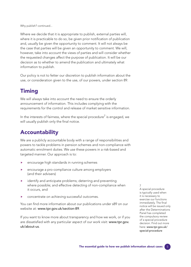Why publish? continued...

Where we decide that it is appropriate to publish, external parties will, where it is practicable to do so, be given prior notification of publication and, usually be given the opportunity to comment. It will not always be the case that parties will be given an opportunity to comment. We will, however, take into account the views of parties and will consider whether the requested changes affect the purpose of publication. It will be our decision as to whether to amend the publication and ultimately what information to publish.

Our policy is not to fetter our discretion to publish information about the use, or consideration given to the use, of our powers, under section 89.

### **Timing**

We will always take into account the need to ensure the orderly announcement of information. This includes complying with the requirements for the control and release of market sensitive information.

In the interests of fairness, where the special procedure<sup>7</sup> is engaged, we will usually publish only the final notice.

### Accountability

We are a publicly accountable body with a range of responsibilities and powers to tackle problems in pension schemes and non-compliance with automatic enrolment duties. We use these powers in a risk-based and targeted manner. Our approach is to:

- encourage high standards in running schemes
- encourage a pro-compliance culture among employers (and their advisers)
- identify and anticipate problems; deterring and preventing where possible; and effective detecting of non-compliance when it occurs, and
- concentrate on achieving successful outcomes.

You can find more information about our publications under s89 on our website at: <www.tpr.gov.uk/section-89>.

If you want to know more about transparency and how we work, or if you are dissatisfied with any particular aspect of our work visit: www.tpr.gov. uk/about-us.

7

A special procedure is typically used when it is necessary to exercise our functions immediately. The final notice will be issued only after the Determinations Panel has completed the compulsory review of a special procedure decision. Find out more here: www.tpr.gov.uk/ [special-procedure](https://www.thepensionsregulator.gov.uk/-/media/thepensionsregulator/files/import/pdf/special-procedure-flowchart-may-2014.ashx)